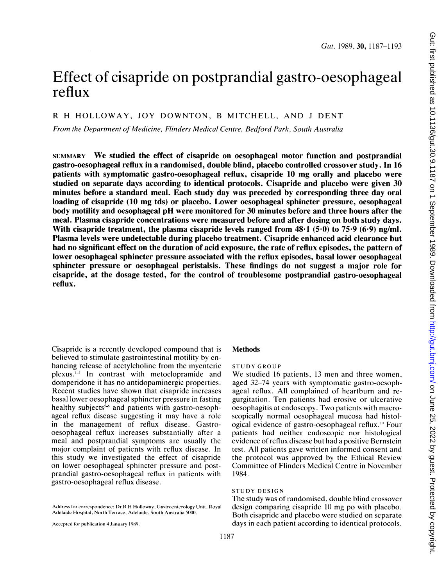# Effect of cisapride on postprandial gastro-oesophageal reflux

# R H HOLLOWAY, JOY DOWNTON, <sup>B</sup> MITCHELL, AND <sup>J</sup> DENT

From the Department of Medicine, Flinders Medical Centre, Bedford Park, South Australia

SUMMARY We studied the effect of cisapride on oesophageal motor function and postprandial gastro-oesophageal reflux in a randomised, double blind, placebo controlled crossover study. In 16 patients with symptomatic gastro-oesophageal reflux, cisapride <sup>10</sup> mg orally and placebo were studied on separate days according to identical protocols. Cisapride and placebo were given 30 minutes before a standard meal. Each study day was preceded by corresponding three day oral loading of cisapride (10 mg tds) or placebo. Lower oesophageal sphincter pressure, oesophageal body motility and oesophageal pH were monitored for 30 minutes before and three hours after the meal. Plasma cisapride concentrations were measured before and after dosing on both study days. With cisapride treatment, the plasma cisapride levels ranged from  $48.1$  (5.0) to  $75.9$  (6.9) ng/ml. Plasma levels were undetectable during placebo treatment. Cisapride enhanced acid clearance but had no significant effect on the duration of acid exposure, the rate of reflux episodes, the pattern of lower oesophageal sphincter pressure associated with the reflux episodes, basal lower oesophageal sphincter pressure or oesophageal peristalsis. These findings do not suggest a major role for cisapride, at the dosage tested, for the control of troublesome postprandial gastro-oesophageal reflux.

Cisapride is a recently developed compound that is believed to stimulate gastrointestinal motility by enhancing release of acetylcholine from the myenteric  $plexus.$ <sup> $\rightarrow$ </sup> In contrast with metoclopramide and domperidone it has no antidopaminergic properties. Recent studies have shown that cisapride increases basal lower oesophageal sphincter pressure in fasting healthy subjects<sup>5,8</sup> and patients with gastro-oesophageal reflux disease suggesting it may have <sup>a</sup> role in the management of reflux disease. Gastrooesophageal reflux increases substantially after a meal and postprandial symptoms are usually the major complaint of patients with reflux disease. In this study we investigated the effect of cisapride on lower oesophageal sphincter pressure and postprandial gastro-oesophageal reflux in patients with gastro-oesophageal reflux disease.

#### Methods

## STUDY GROUP

We studied <sup>16</sup> patients, <sup>13</sup> men and three women, aged 32-74 years with symptomatic gastro-oesophageal reflux. All complained of heartburn and regurgitation. Ten patients had erosive or ulcerative oesophagitis at endoscopy. Two patients with macroscopically normal oesophageal mucosa had histological evidence of gastro-oesophageal reflux.'' Four patients had neither endoscopic nor histological evidence of reflux disease but had a positive Bernstein test. All patients gave written informed consent and the protocol was approved by the Ethical Review Committee of Flinders Medical Centre in November 1984.

#### STUDY DESIGN

The study was of randomised, double blind crossover design comparing cisapride <sup>10</sup> mg po with placebo. Both cisapride and placebo were studied on separate days in each patient according to identical protocols.

Address for correspondence: Dr R H Holloway, Gastroenterology Unit, Royal Adelaide Hospital, North Terrace, Adelaide, South Australia 501.

Accepted for publication 4 January 1989.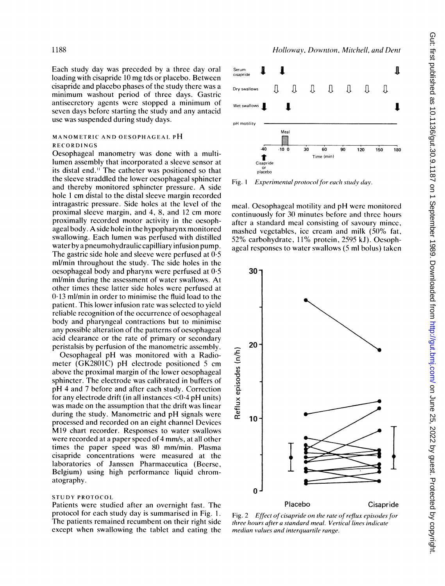Each study day was preceded by a three day oral loading with cisapride <sup>10</sup> mg tds or placebo. Between cisapride and placebo phases of the study there was a minimum washout period of three days. Gastric antisecretory agents were stopped a minimum of seven days before starting the study and any antacid use was suspended during study days.

## MANOMETRIC AND OESOPHAGEAL PH RECORDINGS

Oesophageal manometry was done with a multilumen assembly that incorporated a sleeve sensor at its distal end." The catheter was positioned so that the sleeve straddled the lower oesophageal sphincter and thereby monitored sphincter pressure. A side hole <sup>1</sup> cm distal to the distal sleeve margin recorded intragastric pressure. Side holes at the level of the proximal sleeve margin, and 4, 8, and 12 cm more proximally recorded motor activity in the oesophageal body. A side hole in the hypopharynx monitored swallowing. Each lumen was perfused with distilled water by a pneumohydraulic capilliary infusion pump. The gastric side hole and sleeve were perfused at  $0.5$ ml/min throughout the study. The side holes in the oesophageal body and pharynx were perfused at 0.5 ml/min during the assessment of water swallows. At other times these latter side holes were perfused at 0 13 ml/min in order to minimise the fluid load to the patient. This lower infusion rate was selected to yield reliable recognition of the occurrence of oesophageal body and pharyngeal contractions but to minimise any possible alteration of the patterns of oesophageal acid clearance or the rate of primary or secondary peristalsis by perfusion of the manometric assembly.

Oesophageal pH was monitored with <sup>a</sup> Radiometer (GK2801C) pH electrode positioned <sup>5</sup> cm above the proximal margin of the lower oesophageal sphincter. The electrode was calibrated in buffers of pH 4 and <sup>7</sup> before and after each study. Correction for any electrode drift (in all instances  $\langle 0.4 \text{ pH} \rangle$  units) was made on the assumption that the drift was linear during the study. Manometric and pH signals were processed and recorded on an eight channel Devices M19 chart recorder. Responses to water swallows were recorded at a paper speed of 4 mm/s, at all other times the paper speed was 80 mm/min. Plasma cisapride concentrations were measured at the laboratories of Janssen Pharmaceutica (Beerse, Belgium) using high performance liquid chromatography.

## STUDY PROTOCOL

Patients were studied after an overnight fast. The protocol for each study day is summarised in Fig. 1. The patients remained recumbent on their right side except when swallowing the tablet and eating the



Hollowav, Downton, Mitchell, and Dent

Fig. 1 Experimental protocol for each study day.

meal. Oesophageal motility and pH were monitored continuously for 30 minutes before and three hours after a standard meal consisting of savoury mince, mashed vegetables, ice cream and milk (50% fat, 52% carbohydrate, 11% protein, 2595 kJ). Oesophageal responses to water swallows (5 ml bolus) taken



Fig. 2 Effect of cisapride on the rate of reflux episodes for three hours after a standard meal. Vertical lines indicate median values and interquartile range.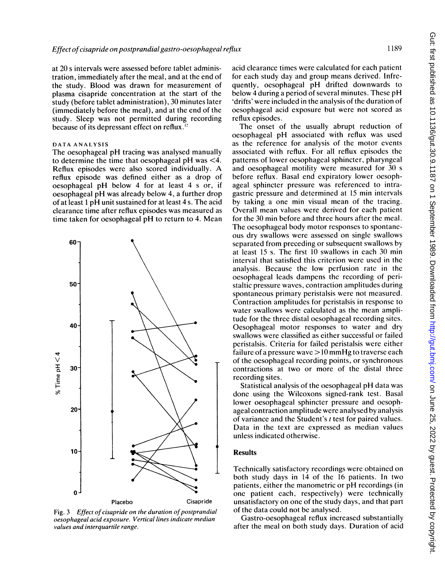at 20 <sup>s</sup> intervals were assessed before tablet administration, immediately after the meal, and at the end of the study. Blood was drawn for measurement of plasma cisapride concentration at the start of the study (before tablet administration), 30 minutes later (immediately before the meal), and at the end of the study. Sleep was not permitted during recording because of its depressant effect on reflux.'

## DATA ANALYSIS

The oesophageal pH tracing was analysed manually to determine the time that oesophageal pH was <4. Reflux episodes were also scored individually. A reflux episode was defined either as a drop of oesophageal pH below 4 for at least <sup>4</sup> <sup>s</sup> or, if oesophageal pH was already below 4, <sup>a</sup> further drop of at least <sup>1</sup> pH unit sustained for at least 4 s. The acid clearance time after reflux episodes was measured as time taken for oesophageal pH to return to 4. Mean



Fig. 3 Effect of cisapride on the duration of postprandial oesophageal acid exposure. Vertical lines indicate median values and interquartile range.

acid clearance times were calculated for each patient for each study day and group means derived. Infrequently, oesophageal pH drifted downwards to below <sup>4</sup> during <sup>a</sup> period of several minutes. These pH 'drifts' were included in the analysis of the duration of oesophageal acid exposure but were not scored as reflux episodes.

The onset of the usually abrupt reduction of oesophageal pH associated with reflux was used as the reference for analysis of the motor events associated with reflux. For all reflux episodes the patterns of lower oesophageal sphincter, pharyngeal and oesophageal motility were measured for 30 <sup>s</sup> before reflux. Basal end expiratory lower oesophageal sphincter pressure was referenced to intragastric pressure and determined at 15 min intervals by taking a one min visual mean of the tracing. Overall mean values were derived for each patient for the 30 min before and three hours after the meal. The oesophageal body motor responses to spontaneous dry swallows were assessed on single swallows separated from preceding or subsequent swallows by at least 15 s. The first 10 swallows in each 30 min interval that satisfied this criterion were used in the analysis. Because the low perfusion rate in the oesophageal leads dampens the recording of peristaltic pressure waves, contraction amplitudes during spontaneous primary peristalsis were not measured. Contraction amplitudes for peristalsis in response to water swallows were calculated as the mean amplitude for the three distal oesophageal recording sites. Oesophageal motor responses to water and dry swallows were classified as either successful or failed peristalsis. Criteria for failed peristalsis were either failure of a pressure wave  $>10$  mmHg to traverse each of the oesophageal recording points, or synchronous contractions at two or more of the distal three recording sites.

Statistical analysis of the oesophageal pH data was done using the Wilcoxons signed-rank test. Basal lower oesophageal sphincter pressure and oesophageal contraction amplitude were analysed by analysis of variance and the Student's <sup>t</sup> test for paired values. Data in the text are expressed as median values unless indicated otherwise.

## **Results**

Technically satisfactory recordings were obtained on both study days in 14 of the 16 patients. In two patients, either the manometric or pH recordings (in one patient each, respectively) were technically unsatisfactory on one of the study days, and that part of the data could not be analysed.

Gastro-oesophageal reflux increased substantially after the meal on both study days. Duration of acid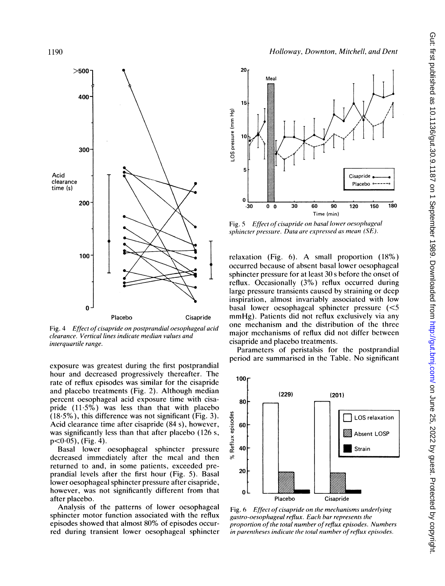

Fig. 4 Effect of cisapride on postprandial oesophageal acid clearance. Vertical lines indicate median values and interquartile range.

exposure was greatest during the first postprandial hour and decreased progressively thereafter. The rate of reflux episodes was similar for the cisapride and placebo treatments (Fig. 2). Although median percent oesophageal acid exposure time with eisapride (11.5%) was less than that with placebo  $(18.5\%)$ , this difference was not significant (Fig. 3). Acid clearance time after cisapride (84 s), however, was significantly less than that after placebo (126 s,  $p<0.05$ ), (Fig. 4).

Basal lower oesophageal sphincter pressure decreased immediately after the meal and then returned to and, in some patients, exceeded preprandial levels after the first hour (Fig. 5). Basal lower oesophageal sphincter pressure after cisapride, however, was not significantly different from that after placebo.

Analysis of the patterns of lower oesophageal sphincter motor function associated with the reflux episodes showed that almost 80% of episodes occurred during transient lower oesophageal sphincter



20 Meal 15 I E E 03 cn 0 Cisapride Placebo<sup>+</sup>  $\Omega$  $-30$  $\pmb{0}$  $\mathbf{a}$  $\overline{30}$ 60  $90$ 120 150 180 Time (min)

Fig. 5 Effect of cisapride on basal lower oesophageal sphincter pressure. Data are expressed as mean (SE).

relaxation (Fig. 6). A small proportion (18%) occurred because of absent basal lower oesophageal sphincter pressure for at least 30 <sup>s</sup> before the onset of reflux. Occasionally (3%) reflux occurred during large pressure transients caused by straining or deep inspiration, almost invariably associated with low basal lower oesophageal sphincter pressure (<5 mmHg). Patients did not reflux exclusively via any one mechanism and the distribution of the three major mechanisms of reflux did not differ between cisapride and placebo treatments.

Parameters of peristalsis for the postprandial period are summarised in the Table. No significant



Fig. 6 Effect of cisapride on the mechanisms underlying gastro-oesophageal reflux. Each bar represents the proportion of the total number of reflux episodes. Numbers in parentheses indicate the total number of reflux episodes.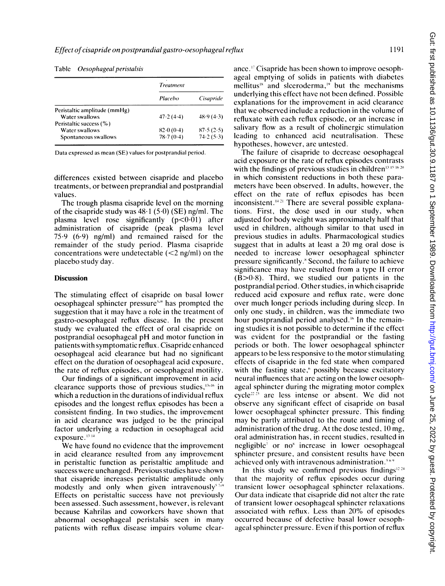|                              | Treatment |           |
|------------------------------|-----------|-----------|
|                              | Placebo   | Cisapride |
| Peristaltic amplitude (mmHg) |           |           |
| Water swallows               | 47.2(4.4) | 48.9(4.3) |
| Peristaltic success (%)      |           |           |
| Water swallows               | 82.0(0.4) | 87.5(2.5) |
| Spontaneous swallows         | 78.7(0.4) | 74.2(5.3) |

#### Table Oesophageal peristalsis

Data expressed as mean (SE) values for postprandial period.

differences existed between cisapride and placebo treatments, or between preprandial and postprandial values.

The trough plasma cisapride level on the morning of the cisapride study was 48-1 (5-0) (SE) ng/ml. The plasma level rose significantly  $(p<0.01)$  after administration of cisapride (peak plasma level 75.9 (6.9) ng/ml) and remained raised for the remainder of the study period. Plasma cisapride concentrations were undetectable  $(<2$  ng/ml) on the placebo study day.

## Discussion

The stimulating effect of cisapride on basal lower oesophageal sphincter pressure<sup>519</sup> has prompted the suggestion that it may have a role in the treatment of gastro-oesophageal reflux disease. In the present study we evaluated the effect of oral cisapride on postprandial oesophageal pH and motor function in patients with symptomatic reflux. Cisapride enhanced oesophageal acid clearance but had no significant effect on the duration of oesophageal acid exposure, the rate of reflux episodes, or oesophageal motility.

Our findings of a significant improvement in acid clearance supports those of previous studies,  $13-16$  in which a reduction in the durations of individual reflux episodes and the longest reflux episodes has been a consistent finding. In two studies, the improvement in acid clearance was judged to be the principal factor underlying a reduction in oesophageal acid exposure.13 <sup>14</sup>

We have found no evidence that the improvement in acid clearance resulted from any improvement in peristaltic function as peristaltic amplitude and success were unchanged. Previous studies have shown that cisapride increases peristaltic amplitude only modestly and only when given intravenously<sup> $57-9$ </sup> Effects on peristaltic success have not previously been assessed. Such assessment, however, is relevant because Kahrilas and coworkers have shown that abnormal oesophageal peristalsis seen in many patients with reflux disease impairs volume clearance.<sup>17</sup> Cisapride has been shown to improve oesophageal emptying of solids in patients with diabetes mellitus<sup>18</sup> and slceroderma,<sup>19</sup> but the mechanisms underlying this effect have not been defined. Possible explanations for the improvement in acid clearance that we observed include a reduction in the volume of refluxate with each reflux episode, or an increase in salivary flow as a result of cholinergic stimulation leading to enhanced acid neutralisation. These hypotheses, however, are untested.

The failure of cisapride to decrease oesophageal acid exposure or the rate of reflux episodes contrasts with the findings of previous studies in children<sup>13-15-16-20</sup> in which consistent reductions in both these parameters have been observed. In adults, however, the effect on the rate of reflux episodes has been inconsistent. $421$  There are several possible explanations. First, the dose used in our study, when adjusted for body weight was approximately half that used in children, although similar to that used in previous studies in adults. Pharmacological studies suggest that in adults at least <sup>a</sup> 20 mg oral dose is needed to increase lower oesophageal sphincter pressure significantly.` Second, the failure to achieve significance may have resulted from <sup>a</sup> type II error  $(B>0.8)$ . Third, we studied our patients in the postprandial period. Other studies, in which cisapride reduced acid exposure and reflux rate, were done over much longer periods including during sleep. In only one study, in children, was the immediate two hour postprandial period analysed.<sup>16</sup> In the remaining studies it is not possible to determine if the effect was evident for the postprandial or the fasting periods or both. The lower oesophageal sphincter appears to be less responsive to the motor stimulating effects of cisapride in the fed state when compared with the fasting state,<sup>6</sup> possibly because excitatory neural influences that are acting on the lower oesophageal sphincter during the migrating motor complex cycle<sup>22 23</sup> are less intense or absent. We did not observe any significant effect of cisapride on basal lower oesophageal sphincter pressure. This finding may be partly attributed to the route and timing of administration of the drug. At the dose tested, 10 mg, oral administration has, in recent studies, resulted in negligible7 or no' increase in lower oesophageal sphincter presure, and consistent results have been achieved only with intravenous administration.<sup>569</sup>

In this study we confirmed previous findings<sup>12.24</sup> that the majority of reflux episodes occur during transient lower oesophageal sphincter relaxations. Our data indicate that cisapride did not alter the rate of transient lower oesophageal sphincter relaxations associated with reflux. Less than 20% of episodes occurred because of defective basal lower oesophageal sphincter pressure. Even if this portion of reflux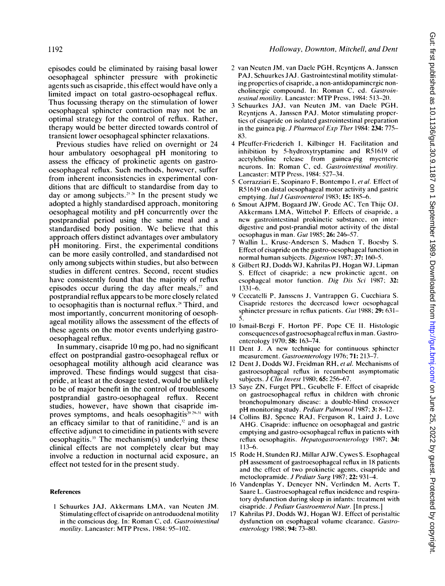episodes could be eliminated by raising basal lower oesophageal sphincter pressure with prokinetic agents such as cisapride, this effect would have only a limited impact on total gastro-oesophageal reflux. Thus focussing therapy on the stimulation of lower oesophageal sphincter contraction may not be an optimal strategy for the control of reflux. Rather, therapy would be better directed towards control of transient lower oesophageal sphincter relaxations.

Previous studies have relied on overnight or 24 hour ambulatory oesophageal pH monitoring to assess the efficacy of prokinetic agents on gastrooesophageal reflux. Such methods, however, suffer from inherent inconsistencies in experimental conditions that are difficult to standardise from day to day or among subjects.<sup>25-26</sup> In the present study we adopted a highly standardised approach, monitoring oesophageal motility and pH concurrently over the postprandial period using the same meal and a standardised body position. We believe that this approach offers distinct advantages over ambulatory pH monitoring. First, the experimental conditions can be more easily controlled, and standardised not only among subjects within studies, but also between studies in different centres. Second, recent studies have consistently found that the majority of reflux episodes occur during the day after meals, $27$  and postprandial reflux appears to be more closely related to oesophagitis than is nocturnal reflux.<sup>28</sup> Third, and most importantly, concurrent monitoring of oesophageal motility allows the assessment of the effects of these agents on the motor events underlying gastrooesophageal reflux.

In summary, cisapride <sup>10</sup> mg po, had no significant effect on postprandial gastro-oesophageal reflux or oesophageal motility although acid clearance was improved. These findings would suggest that cisapride, at least at the dosage tested, would be unlikely to be of major benefit in the control of troublesome postprandial gastro-oesophageal reflux. Recent studies, however, have shown that cisapride improves symptoms, and heals oesophagitis $20.29-31$  with an efficacy similar to that of ranitidine, $x<sup>2</sup>$  and is an effective adjunct to cimetidine in patients with severe oesophagitis. $3$ <sup>3</sup> The mechanism(s) underlying these clinical effects are not completely clear but may involve a reduction in nocturnal acid exposure, an effect not tested for in the present study.

#### References

<sup>1</sup> Schuurkes JAJ, Akkermans LMA, van Neuten JM. Stimulating effect of cisapride on antroduodenal motility in the conscious dog. In: Roman C. ed. Gastrointestinal motility. Lancaster: MTP Press, 1984: 95-102.

- <sup>2</sup> van Neuten JM, van Daele PGH, Reyntjens A, Janssen PAJ, Schuurkes JAJ. Gastrointestinal motility stimulating properties of cisapride, a non-antidopaminergic noncholinergic compound. In: Roman C, ed. Gastrointestinal motility. Lancaster: MTP Press, 1984: 513-20.
- <sup>3</sup> Schuurkes JAJ, van Neuten JM, van Daele PGH, Reyntjens A, Janssen PAJ. Motor stimulating properties of cisapride on isolated gastrointestinal preparation in the guinea pig. J Pharmacol Exp Ther 1984: 234: 775-83.
- 4 Pfeuffer-Friederich 1, Kilbinger H. Facilitation and inhibition by 5-hydroxytryptamine and R51619 of acetylcholine release from guinea-pig myenteric neurons. In: Roman C, ed. Gastrointestinal motility. Lancaster: MTP Press, 1984: 527-34.
- 5 Corrazziari E, Scopinaro F, Bontempo I, et al. Effect of R51619 on distal oesophageal motor activity and gastric emptying. Ital J Gastroenterol 1983; 15: 185-6.
- 6 Smout AJPM, Bogaard JW, Grode AC, Ten Thije OJ, Akkermans LMA, Wittebol P. Effects of cisapride, <sup>a</sup> new gastrointestinal prokinetic substance, on interdigestive and post-prandial motor activity of the distal oesophagus in man. Gut 1985; 26: 246-57.
- 7 Wallin L, Kruse-Andersen S, Madsen T, Boesby S. Effect of cisapride on the gastro-oesophageal function in normal human subjects. Digestion 1987; 37: 160-5.
- 8 Gilbert RJ, Dodds WJ, Kahrilas PJ, Hogan WJ, Lipman S. Effect of cisapride; a new prokinetic agent, on esophageal motor function. Dig Dis Sci 1987; 32:  $1331 - 6.$
- 9 Ceccatelli P, Janssens J, Vantrappen G, Cucchiara S. Cisapride restores the decreased lower oesophagcal sphincter pressure in reflux patients. Gut 1988; 29: 631- 5.
- <sup>10</sup> Ismail-Bergi F, Horton PF, Pope CE 11. Histologic consequences of gastroesophageal reflux in man. Gastroenterology 1970; 58: 163-74.
- <sup>11</sup> Dent J. A new technique for continuous sphincter measurement. Gastroenterology 1976; 71: 213-7.
- <sup>12</sup> Dent J, Dodds WJ, Freidman RH, et al. Mechanisms of gastroesophageal reflux in recumbent asymptomatic subjects. *J Clin Invest* 1980; **65:** 256-67.
- 13 Saye ZN, Furget PPL, Geubelle F. Effect of cisapride on gastroesophageal reflux in children with chronic bronchopulmonary disease: a double-blind crossover pH monitoring study. Pediatr Pulmonol 1987; 3: 8-12.
- 14 Collins BJ, Spence RAJ, Ferguson R, Laird J, Love AHG. Cisapride: influence on oesophageal and gastric emptying and gastro-oesophageal reflux in patients with reflux oesophagitis. Hepatogastroenterology 1987; 34: 113-6.
- <sup>15</sup> Rode H, Stunden RJ, Millar AJW, Cywes S. Esophageal pH assessment of gastroesophageal reflux in <sup>18</sup> patients and the effect of two prokinetic agents, cisapride and metoclopramide. J Pediatr Surg 1987; 22: 931-4.
- 16 Vandenplas Y, Deneyer NN, Verlinden M, Aerts T, Saare L. Gastroesophageal reflux incidence and respiratory dysfunction during sleep in infants: treatment with cisapride. J Pediatr Gastroenterol Nutr. [In press.]
- <sup>17</sup> Kahrilas PJ, Dodds WJ, Hogan WJ. Effect of peristaltic dysfunction on esophageal volume clearance. Gastroenterology 1988; 94: 73-80.